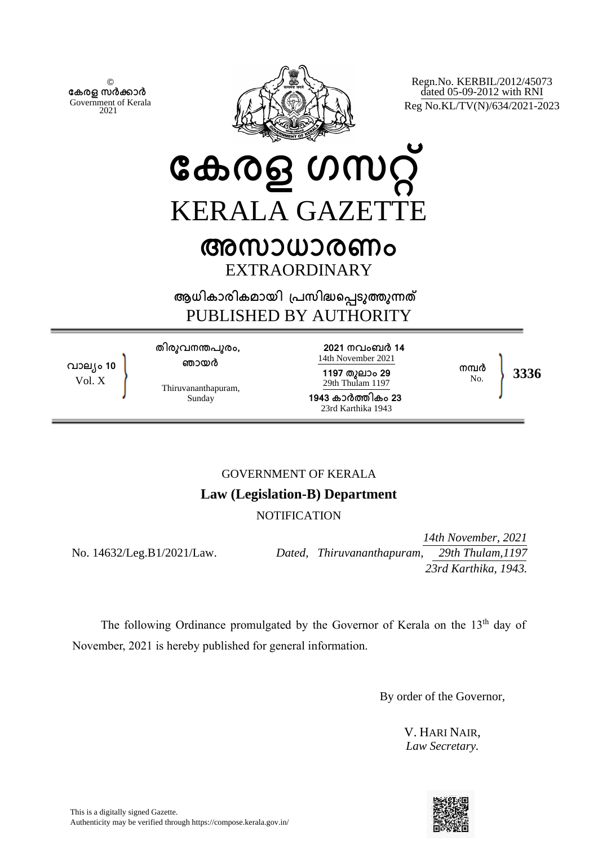© **േകരള സർകാർ** Government of Kerala 2021



Regn.No. KERBIL/2012/45073 dated 05-09-2012 with RNI Reg No.KL/TV(N)/634/2021-2023

# **േകരള ഗസറ്** KERALA GAZETTE **അസാധാരണം** EXTRAORDINARY

**ആധികാരികമായി ്പസിദെപടുതുനത** PUBLISHED BY AUTHORITY

**വാല്ം 10** Vol. X

**തിരുവനനപുരം, ഞായർ**

Thiruvananthapuram, Sunday

**2021 നവംബർ 14** 14th November 2021 **1197 തുലാം 29** 29th Thulam 1197 **1943 കാർതികം 23**

23rd Karthika 1943

No. **3336**

**നമ്പ**ർ<br>No

# GOVERNMENT OF KERALA **Law (Legislation-B) Department**

**NOTIFICATION** 

No. 14632/Leg.B1/2021/Law.

*14th November, 2021 Dated, Thiruvananthapuram, 29th Thulam,1197 23rd Karthika, 1943.* 

The following Ordinance promulgated by the Governor of Kerala on the 13<sup>th</sup> day of November, 2021 is hereby published for general information.

By order of the Governor,

V. HARI NAIR, *Law Secretary.*

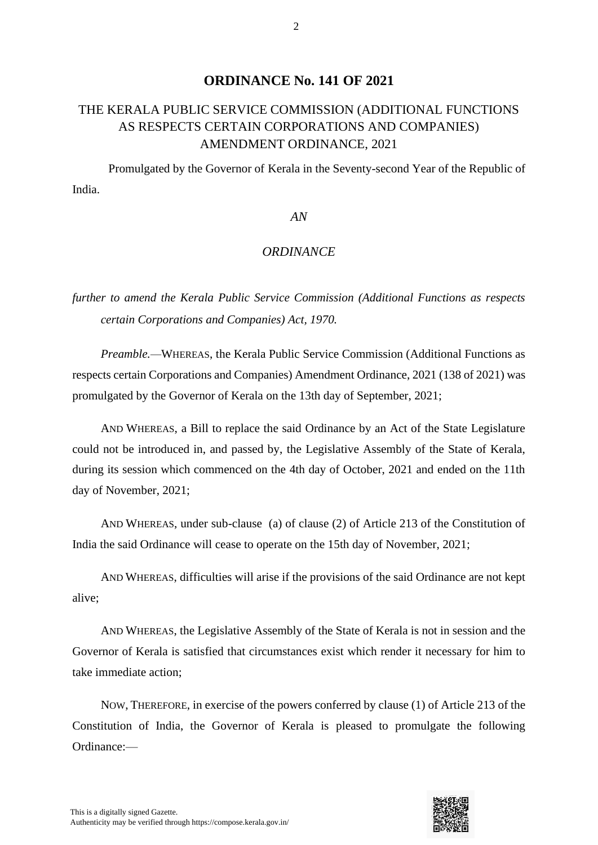### **ORDINANCE No. 141 OF 2021**

## THE KERALA PUBLIC SERVICE COMMISSION (ADDITIONAL FUNCTIONS AS RESPECTS CERTAIN CORPORATIONS AND COMPANIES) AMENDMENT ORDINANCE, 2021

Promulgated by the Governor of Kerala in the Seventy-second Year of the Republic of India.

#### *AN*

#### *ORDINANCE*

*further to amend the Kerala Public Service Commission (Additional Functions as respects certain Corporations and Companies) Act, 1970.*

*Preamble.—*WHEREAS, the Kerala Public Service Commission (Additional Functions as respects certain Corporations and Companies) Amendment Ordinance, 2021 (138 of 2021) was promulgated by the Governor of Kerala on the 13th day of September, 2021;

AND WHEREAS, a Bill to replace the said Ordinance by an Act of the State Legislature could not be introduced in, and passed by, the Legislative Assembly of the State of Kerala, during its session which commenced on the 4th day of October, 2021 and ended on the 11th day of November, 2021;

AND WHEREAS, under sub-clause (a) of clause (2) of Article 213 of the Constitution of India the said Ordinance will cease to operate on the 15th day of November, 2021;

AND WHEREAS, difficulties will arise if the provisions of the said Ordinance are not kept alive;

AND WHEREAS, the Legislative Assembly of the State of Kerala is not in session and the Governor of Kerala is satisfied that circumstances exist which render it necessary for him to take immediate action;

NOW, THEREFORE, in exercise of the powers conferred by clause (1) of Article 213 of the Constitution of India, the Governor of Kerala is pleased to promulgate the following Ordinance:—